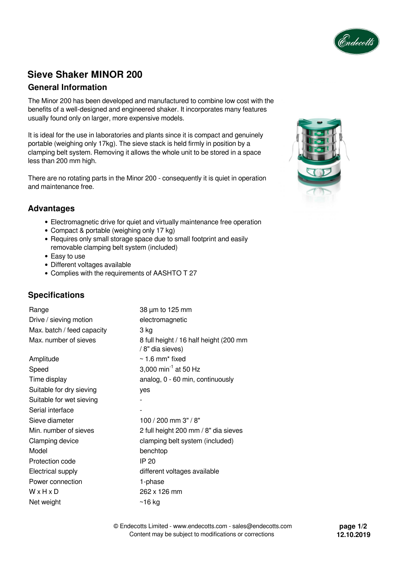

# **Sieve Shaker MINOR 200**

## **General Information**

The Minor 200 has been developed and manufactured to combine low cost with the benefits of a well-designed and engineered shaker. It incorporates many features usually found only on larger, more expensive models.

It is ideal for the use in laboratories and plants since it is compact and genuinely portable (weighing only 17kg). The sieve stack is held firmly in position by a clamping belt system. Removing it allows the whole unit to be stored in a space less than 200 mm high.

There are no rotating parts in the Minor 200 - consequently it is quiet in operation and maintenance free.

## **Advantages**

- Electromagnetic drive for quiet and virtually maintenance free operation
- Compact & portable (weighing only 17 kg)
- Requires only small storage space due to small footprint and easily removable clamping belt system (included)
- Easy to use
- Different voltages available
- Complies with the requirements of AASHTO T 27

## **Specifications**

| Range                      | 38 µm to 125 mm                                            |
|----------------------------|------------------------------------------------------------|
| Drive / sieving motion     | electromagnetic                                            |
| Max. batch / feed capacity | 3 kg                                                       |
| Max. number of sieves      | 8 full height / 16 half height (200 mm<br>/ 8" dia sieves) |
| Amplitude                  | $\sim$ 1.6 mm <sup>*</sup> fixed                           |
| Speed                      | 3,000 min <sup>-1</sup> at 50 Hz                           |
| Time display               | analog, 0 - 60 min, continuously                           |
| Suitable for dry sieving   | yes                                                        |
| Suitable for wet sieving   |                                                            |
| Serial interface           |                                                            |
| Sieve diameter             | 100 / 200 mm 3" / 8"                                       |
| Min. number of sieves      | 2 full height 200 mm / 8" dia sieves                       |
| Clamping device            | clamping belt system (included)                            |
| Model                      | benchtop                                                   |
| Protection code            | IP 20                                                      |
| Electrical supply          | different voltages available                               |
| Power connection           | 1-phase                                                    |
| WxHxD                      | 262 x 126 mm                                               |
| Net weight                 | $~16$ kg                                                   |



© Endecotts Limited - www.endecotts.com - sales@endecotts.com Content may be subject to modifications or corrections

**page 1/2 12.10.2019**